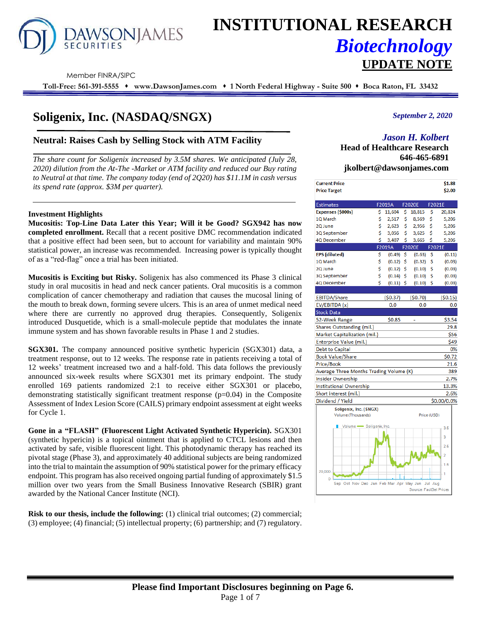

# **INSTITUTIONAL RESEARCH** *Biotechnology* **UPDATE NOTE**

Member FINRA/SIPC

**Toll-Free: 561-391-5555** ⬧ **www.DawsonJames.com** ⬧ **1 North Federal Highway - Suite 500** ⬧ **Boca Raton, FL 33432**

# **Soligenix, Inc. (NASDAQ/SNGX)**

# **Neutral: Raises Cash by Selling Stock with ATM Facility**

*The share count for Soligenix increased by 3.5M shares. We anticipated (July 28, 2020) dilution from the At-The -Market or ATM facility and reduced our Buy rating to Neutral at that time. The company today (end of 2Q20) has \$11.1M in cash versus its spend rate (approx. \$3M per quarter).*

#### **Investment Highlights**

**Mucositis: Top-Line Data Later this Year; Will it be Good? SGX942 has now completed enrollment.** Recall that a recent positive DMC recommendation indicated that a positive effect had been seen, but to account for variability and maintain 90% statistical power, an increase was recommended. Increasing power is typically thought of as a "red-flag" once a trial has been initiated.

**Mucositis is Exciting but Risky.** Soligenix has also commenced its Phase 3 clinical study in oral mucositis in head and neck cancer patients. Oral mucositis is a common complication of cancer chemotherapy and radiation that causes the mucosal lining of the mouth to break down, forming severe ulcers. This is an area of unmet medical need where there are currently no approved drug therapies. Consequently, Soligenix introduced Dusquetide, which is a small-molecule peptide that modulates the innate immune system and has shown favorable results in Phase 1 and 2 studies.

**SGX301.** The company announced positive synthetic hypericin (SGX301) data, a treatment response, out to 12 weeks. The response rate in patients receiving a total of 12 weeks' treatment increased two and a half-fold. This data follows the previously announced six-week results where SGX301 met its primary endpoint. The study enrolled 169 patients randomized 2:1 to receive either SGX301 or placebo, demonstrating statistically significant treatment response (p=0.04) in the Composite Assessment of Index Lesion Score (CAILS) primary endpoint assessment at eight weeks for Cycle 1.

**Gone in a "FLASH" (Fluorescent Light Activated Synthetic Hypericin).** SGX301 (synthetic hypericin) is a topical ointment that is applied to CTCL lesions and then activated by safe, visible fluorescent light. This photodynamic therapy has reached its pivotal stage (Phase 3), and approximately 40 additional subjects are being randomized into the trial to maintain the assumption of 90% statistical power for the primary efficacy endpoint. This program has also received ongoing partial funding of approximately \$1.5 million over two years from the Small Business Innovative Research (SBIR) grant awarded by the National Cancer Institute (NCI).

**Risk to our thesis, include the following:** (1) clinical trial outcomes; (2) commercial; (3) employee; (4) financial; (5) intellectual property; (6) partnership; and (7) regulatory. *September 2, 2020*

# *Jason H. Kolbert*

**Head of Healthcare Research 646-465-6891 jkolbert@dawsonjames.com**

| <b>Current Price</b> | \$1.88 |
|----------------------|--------|
| <b>Price Target</b>  | \$2.00 |
|                      |        |

| <b>Estimates</b>                                     |    | F2019A      |     | <b>F2020E</b>          | F2021E      |                |
|------------------------------------------------------|----|-------------|-----|------------------------|-------------|----------------|
| Expenses (\$000s)                                    | \$ | 11,604      | \$. | 18,815                 | \$          | 20,824         |
| 1Q March                                             | \$ | 2,517       | \$  | 8,569                  | Ś.          | 5,206          |
| 2Q June                                              | \$ | 2,623       | \$  | 2,956                  | \$          | 5,206          |
| 3Q September                                         | Ś  | 3,056       | Ś   | 3,625                  | \$          | 5,206          |
| 4Q December                                          | Ś  | 3,407       | Ś   | 3,665                  | Ś           | 5,206          |
|                                                      |    | F2019A      |     | <b>F2020E</b>          | F2021E      |                |
| <b>EPS</b> (diluted)                                 | \$ | $(0.49)$ \$ |     | (0.63)                 | \$          | (0.11)         |
| 10 March                                             | \$ | $(0.12)$ \$ |     | (0.32)                 | \$          | (0.03)         |
| 2Q June                                              | \$ | (0.12)      | \$  | (0.10)                 | \$          | (0.03)         |
| 3Q September                                         | \$ | (0.14)      | \$  | (0.10)                 | Ś           | (0.03)         |
| 4Q December                                          | Ś  | $(0.11)$ \$ |     | (0.10)                 | Ŝ           | (0.03)         |
|                                                      |    |             |     |                        |             |                |
| <b>EBITDA/Share</b>                                  |    | (50.37)     |     | (50.70)                |             | (50.15)        |
| EV/EBITDA (x)                                        |    | 0.0         |     | 0.0                    |             | 0.0            |
| <b>Stock Data</b>                                    |    |             |     |                        |             |                |
| 52-Week Range                                        |    | \$0.85      |     |                        |             | \$3.54         |
| Shares Outstanding (mil.)                            |    |             |     |                        |             | 29.8           |
| Market Capitalization (mil.)                         |    |             |     |                        |             | \$56           |
| Enterprise Value (mil.)                              |    |             |     |                        |             | \$49           |
| <b>Debt to Capital</b>                               |    |             |     |                        |             | 0%             |
| <b>Book Value/Share</b>                              |    |             |     |                        |             | \$0.72         |
| Price/Book                                           |    |             |     |                        |             | 21.6           |
| Average Three Months Trading Volume (K)              |    |             |     |                        |             | 389            |
| Insider Ownership                                    |    |             |     |                        |             | 2.7%           |
| <b>Institutional Ownership</b>                       |    |             |     |                        |             | 13.3%          |
| Short interest (mil.)                                |    |             |     |                        |             | 2.6%           |
| Dividend / Yield                                     |    |             |     |                        |             | \$0.00/0.0%    |
| Soligenix, Inc. (SNGX)                               |    |             |     |                        |             |                |
| Volume (Thousands)                                   |    |             |     |                        | Price (USD) |                |
| Volume Soligenix, Inc.                               |    |             |     |                        |             |                |
|                                                      |    |             |     |                        |             | 3.5            |
|                                                      |    |             |     |                        |             | 3              |
|                                                      |    |             |     |                        |             | 2.5            |
|                                                      |    |             |     |                        |             | $\overline{2}$ |
|                                                      |    |             |     |                        |             |                |
|                                                      |    |             |     |                        |             | 1.5            |
| 20,000                                               |    |             |     |                        |             |                |
| Ō<br>Sep Oct Nov Dec Jan Feb Mar Apr May Jun Jul Aug |    |             |     |                        |             |                |
|                                                      |    |             |     | Source: FactSet Prices |             |                |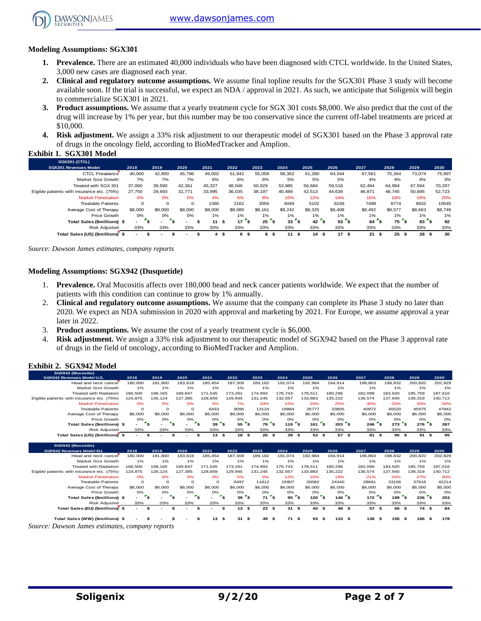

#### **Modeling Assumptions: SGX301**

- **1. Prevalence.** There are an estimated 40,000 individuals who have been diagnosed with CTCL worldwide. In the United States, 3,000 new cases are diagnosed each year.
- **2. Clinical and regulatory outcome assumptions.** We assume final topline results for the SGX301 Phase 3 study will become available soon. If the trial is successful, we expect an NDA / approval in 2021. As such, we anticipate that Soligenix will begin to commercialize SGX301 in 2021.
- **3. Product assumptions.** We assume that a yearly treatment cycle for SGX 301 costs \$8,000. We also predict that the cost of the drug will increase by 1% per year, but this number may be too conservative since the current off-label treatments are priced at \$10,000.
- **4. Risk adjustment.** We assign a 33% risk adjustment to our therapeutic model of SGX301 based on the Phase 3 approval rate of drugs in the oncology field, according to BioMedTracker and Amplion.

#### **Exhibit 1. SGX301 Model**

| <b>SGX301 (CTCL)</b>                       |         |              |          |         |           |           |           |                    |            |            |            |                 |         |
|--------------------------------------------|---------|--------------|----------|---------|-----------|-----------|-----------|--------------------|------------|------------|------------|-----------------|---------|
| <b>SGX301 Revenues Model</b>               | 2018    | 2019         | 2020     | 2021    | 2022      | 2023      | 2024      | 2025               | 2026       | 2027       | 2028       | 2029            | 2030    |
| <b>CTCL Prevalance</b>                     | 40,000  | 42.800       | 45.796   | 49.002  | 51.942    | 55.058    | 58,362    | 61.280             | 64.344     | 67,561     | 70.264     | 73.074          | 75,997  |
| Market Size Growth                         | 7%      | 7%           | 7%       | 6%      | 6%        | 6%        | 5%        | 5%                 | 5%         | 4%         | 4%         | 4%              | 3%      |
| Treated with SGX 301                       | 37.000  | 39.590       | 42.361   | 45.327  | 48.046    | 50,929    | 53.985    | 56.684             | 59.518     | 62.494     | 64.994     | 67.594          | 70,297  |
| Elgible patients with insurance etc. (75%) | 27.750  | 29.693       | 31.771   | 33.995  | 36.035    | 38.197    | 40.489    | 42.513             | 44.639     | 46,871     | 48.745     | 50.695          | 52,723  |
| <b>Market Penetration</b>                  | 0%      | 0%           | 0%       | 4%      | 6%        | 8%        | 10%       | 12%                | 14%        | 16%        | 18%        | 19%             | 20%     |
| <b>Treatable Patients</b>                  |         | $\mathbf 0$  | $\Omega$ | 1360    | 2162      | 3056      | 4049      | 5102               | 6249       | 7499       | 8774       | 9632            | 10545   |
| Average Cost of Therapy                    | \$8,000 | \$8,000      | \$8,000  | \$8,000 | \$8,080   | \$8,161   | \$8,242   | \$8,325            | \$8,408    | \$8,492    | \$8,577    | \$8,663         | \$8,749 |
| Price Growth                               | 0%      | 0%           | 0%       | 1%      | $1\%$     | $1\%$     | 1%        | 1%                 | $1\%$      | 1%         | $1\%$      | 1%              | 1%      |
| Total Sales (\$millions) \$                | $\sim$  | $\mathbf{s}$ |          | 11      | 17<br>\$  | ٠s<br>25  | ΄\$<br>33 | ۰s.<br>42          | ۰\$<br>53  | 64         | 75<br>ه '  | 83 <sup>5</sup> | 92      |
| <b>Risk Adiusted</b>                       | 33%     | 33%          | 33%      | 33%     | 33%       | 33%       | 33%       | 33%                | 33%        | 33%        | 33%        | 33%             | 33%     |
| Total Sales (US) (\$millions) \$           | $\sim$  |              |          | 4       | 6<br>- \$ | 8<br>- 55 | 11<br>ŝ.  | 14<br>- \$<br>- 56 | 17<br>- \$ | 21<br>- \$ | 25<br>- \$ | 28<br>- 55      | 30      |

*Source: Dawson James estimates, company reports*

#### **Modeling Assumptions: SGX942 (Dusquetide)**

- 1. **Prevalence.** Oral Mucositis affects over 180,000 head and neck cancer patients worldwide. We expect that the number of patients with this condition can continue to grow by 1% annually.
- 2. **Clinical and regulatory outcome assumptions.** We assume that the company can complete its Phase 3 study no later than 2020. We expect an NDA submission in 2020 with approval and marketing by 2021. For Europe, we assume approval a year later in 2022.
- 3. **Product assumptions.** We assume the cost of a yearly treatment cycle is \$6,000.
- 4. **Risk adjustment.** We assign a 33% risk adjustment to our therapeutic model of SGX942 based on the Phase 3 approval rate of drugs in the field of oncology, according to BioMedTracker and Amplion.

#### **Exhibit 2. SGX942 Model**

| SGX942 (Mucositis)                         |         |                                |          |         |           |           |            |            |            |            |            |                |            |
|--------------------------------------------|---------|--------------------------------|----------|---------|-----------|-----------|------------|------------|------------|------------|------------|----------------|------------|
| SGX942 Revenues Model U.S.                 | 2018    | 2019                           | 2020     | 2021    | 2022      | 2023      | 2024       | 2025       | 2026       | 2027       | 2028       | 2029           | 2030       |
| Head and neck cancer                       | 180,000 | 181.800                        | 183.618  | 185.454 | 187.309   | 189.182   | 191.074    | 192.984    | 194.914    | 196,863    | 198.832    | 200.820        | 202,829    |
| Market Size Growth                         | 1%      | 1%                             | 1%       | 1%      | 1%        | 1%        | 1%         | 1%         | 1%         | 1%         | 1%         | 1%             | 1%         |
| <b>Treated with Radiation</b>              | 166,500 | 168.165                        | 169.847  | 171.545 | 173.261   | 174.993   | 176.743    | 178.511    | 180.296    | 182.099    | 183.920    | 185,759        | 187,616    |
| Elgible patients with insurance etc. (75%) | 124.875 | 126.124                        | 127.385  | 128.659 | 129.945   | 131.245   | 132.557    | 133.883    | 135.222    | 136.574    | 137.940    | 139.319        | 140,712    |
| <b>Market Penetration</b>                  | 0%      | 0%                             | 0%       | 5%      | 7%        | 10%       | 15%        | 20%        | 25%        | 30%        | 33%        | 33%            | 34%        |
| <b>Treatable Patients</b>                  |         | $\circ$                        | $\Omega$ | 6433    | 9096      | 13124     | 19884      | 26777      | 33805      | 40972      | 45520      | 45975          | 47842      |
| Average Cost of Therapy                    | \$6,000 | \$6,000                        | \$6,000  | \$6,000 | \$6,000   | \$6,000   | \$6,000    | \$6,000    | \$6,000    | \$6,000    | \$6,000    | \$6,000        | \$6,000    |
| Price Growth                               | 0%      | 0%                             | 0%       | 0%      | 0%        | 0%        | 0%         | 0%         | 0%         | 0%         | 0%         | O%             | O%         |
| Total Sales (\$millions) \$                |         | ∽_<br>$\overline{\phantom{0}}$ |          | 39      | 55        | ້\$<br>79 | '\$<br>119 | 161        | 203        | 246        | 273        | $276^\circ$ \$ | 287        |
| <b>Risk Adiusted</b>                       | 33%     | 33%                            | 33%      | 33%     | 33%       | 33%       | 33%        | 33%        | 33%        | 33%        | 33%        | 33%            | 33%        |
| Total Sales (US) (\$millions) \$           |         | -                              |          | 13      | 18<br>-35 | 26<br>-S  | 39<br>S    | 53<br>- 55 | 67<br>- 55 | 81<br>- 56 | 90<br>- 55 | 91<br>S        | 95<br>- 55 |

| SGX942 (Mucositis)                         |                          |                   |          |                          |                 |            |           |            |                                |             |             |             |      |         |
|--------------------------------------------|--------------------------|-------------------|----------|--------------------------|-----------------|------------|-----------|------------|--------------------------------|-------------|-------------|-------------|------|---------|
| SGX942 Revenues Model EU.                  | 2018                     | 2019              | 2020     | 2021                     | 2022            | 2023       | 2024      | 2025       | 2026                           | 2027        | 2028        | 2029        | 2030 |         |
| Head and neck cancer                       | 180,000                  | 181.800           | 183.618  | 185.454                  | 187,309         | 189.182    | 191.074   | 192.984    | 194.914                        | 196,863     | 198.832     | 200.820     |      | 202.829 |
| Market Size Growth                         | 1%                       | 1%                | 1%       | 1%                       | 1%              | 1%         | 1%        | 1%         | 1%                             | 1%          | 1%          | 1%          |      | 1%      |
| <b>Treated with Radiation</b>              | 166,500                  | 168.165           | 169.847  | 171.545                  | 173.261         | 174.993    | 176.743   | 178.511    | 180.296                        | 182.099     | 183.920     | 185,759     |      | 187,616 |
| Elgible patients with insurance etc. (75%) | 124.875                  | 126.124           | 127.385  | 128.659                  | 129.945         | 131.245    | 132.557   | 133.883    | 135.222                        | 136.574     | 137.940     | 139.319     |      | 140.712 |
| <b>Market Penetration</b>                  | 0%                       | 0%                | 0%       | 0%                       | 5%              | 9%         | 12%       | 15%        | 18%                            | 21%         | 24%         | 27%         |      | 30%     |
| <b>Treatable Patients</b>                  | 0                        | $\circ$           | $\Omega$ | $\Omega$                 | 6497            | 11812      | 15907     | 20082      | 24340                          | 28681       | 33106       | 37616       |      | 42214   |
| Average Cost of Therapy                    | \$6,000                  | \$6,000           | \$6,000  | \$6,000                  | \$6,000         | \$6,000    | \$6,000   | \$6,000    | \$6,000                        | \$6,000     | \$6,000     | \$6,000     |      | \$6,000 |
| Price Growth                               | 0%                       | 0%                | 0%       | 0%                       | O%              | 0%         | 0%        | 0%         | 0%                             | 0%          | 0%          | 0%          |      | 0%      |
| Total Sales (\$millions) \$                | $\overline{\phantom{a}}$ | $\mathbf{s}$<br>- |          |                          | 39 <sup>5</sup> | 71         | ิร<br>95  | 120        | $\mathbf{r}_\mathbf{S}$<br>146 | 172         | 199         | 226 S<br>"s |      | 253     |
| <b>Risk Adiusted</b>                       | 33%                      | 33%               | 33%      | 33%                      | 33%             | 33%        | 33%       | 33%        | 33%                            | 33%         | 33%         | 33%         |      | 33%     |
| Total Sales (EU) (\$millions)              | -                        | S                 |          | $\overline{\phantom{a}}$ | 13S             | 23         | 31<br>£.  | 40<br>- \$ | 48 \$<br>\$                    | 57          | 66<br>- 55  | 74S<br>- SS |      | 84      |
|                                            |                          |                   |          |                          |                 |            |           |            |                                |             |             |             |      |         |
| Total Sales (WW) (\$millions) \$           |                          |                   |          | 13                       | 31<br>s         | 49<br>- \$ | 71 S<br>S | 93         | 115<br>- 55                    | 138<br>- \$ | 156<br>- 55 | 166S<br>s   |      | 178     |

*Source: Dawson James estimates, company reports*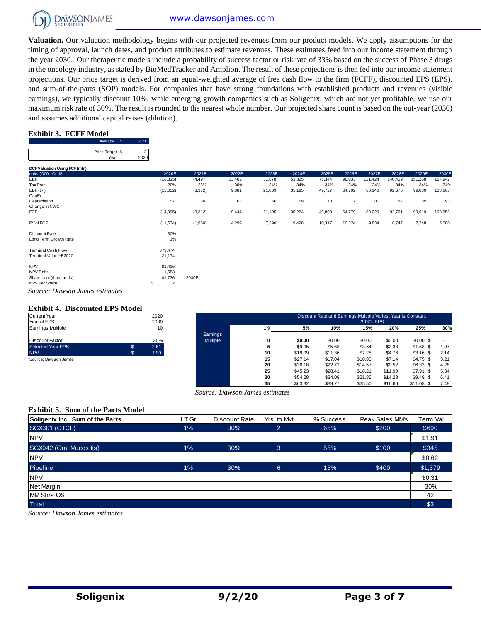

**Valuation.** Our valuation methodology begins with our projected revenues from our product models. We apply assumptions for the timing of approval, launch dates, and product attributes to estimate revenues. These estimates feed into our income statement through the year 2030. Our therapeutic models include a probability of success factor or risk rate of 33% based on the success of Phase 3 drugs in the oncology industry, as stated by BioMedTracker and Amplion. The result of these projections is then fed into our income statement projections. Our price target is derived from an equal-weighted average of free cash flow to the firm (FCFF), discounted EPS (EPS), and sum-of-the-parts (SOP) models. For companies that have strong foundations with established products and revenues (visible earnings), we typically discount 10%, while emerging growth companies such as Soligenix, which are not yet profitable, we use our maximum risk rate of 30%. The result is rounded to the nearest whole number. Our projected share count is based on the out-year (2030) and assumes additional capital raises (dilution).

### **Exhibit 3. FCFF Model**

| Price Target \$ |  |
|-----------------|--|
|                 |  |
|                 |  |
| Year            |  |

| DCF Valuation Using FCF (mln):                            |                      |          |        |        |        |        |        |         |         |         |         |
|-----------------------------------------------------------|----------------------|----------|--------|--------|--------|--------|--------|---------|---------|---------|---------|
| units ('000 - Cnd\$)                                      | 2020E                | 2021E    | 2022E  | 2023E  | 2024E  | 2025E  | 2026E  | 2027E   | 2028E   | 2029E   | 2030E   |
| EBIT                                                      | (18, 815)            | (4, 497) | 13,402 | 31,878 | 53,325 | 75,344 | 98,033 | 121,424 | 140,419 | 151,258 | 164,947 |
| Tax Rate                                                  | 20%                  | 25%      | 30%    | 34%    | 34%    | 34%    | 34%    | 34%     | 34%     | 34%     | 34%     |
| $EBIT(1-t)$                                               | (15,052)             | (3,372)  | 9,381  | 21,039 | 35,195 | 49,727 | 64,702 | 80,140  | 92,676  | 99,830  | 108,865 |
| CapEx                                                     | ٠                    |          | ٠      | $\sim$ | ٠      | $\sim$ | ٠      |         | ۰.      |         | ۰.      |
| Depreciation                                              | 57                   | 60       | 63     | 66     | 69     | 73     | 77     | 80      | 84      | 89      | 93      |
| Change in NWC                                             |                      |          |        |        |        |        |        |         |         |         |         |
| <b>FCF</b>                                                | (14, 995)            | (3,312)  | 9,444  | 21,105 | 35,264 | 49,800 | 64,779 | 80,220  | 92,761  | 99,919  | 108,958 |
| PV of FCF                                                 | (11, 534)            | (1,960)  | 4,299  | 7,390  | 9,498  | 10,317 | 10,324 | 9,834   | 8,747   | 7,248   | 6,080   |
| Discount Rate                                             | 30%                  |          |        |        |        |        |        |         |         |         |         |
| Long Term Growth Rate                                     | 1%                   |          |        |        |        |        |        |         |         |         |         |
| <b>Terminal Cash Flow</b>                                 | 379,474              |          |        |        |        |        |        |         |         |         |         |
| Terminal Value YE2020                                     | 21,174               |          |        |        |        |        |        |         |         |         |         |
| <b>NPV</b>                                                | 81,416               |          |        |        |        |        |        |         |         |         |         |
| NPV-Debt                                                  | 1,583                |          |        |        |        |        |        |         |         |         |         |
| Shares out (thousands)                                    | 41,736               | 2030E    |        |        |        |        |        |         |         |         |         |
| NPV Per Share                                             | \$<br>$\overline{2}$ |          |        |        |        |        |        |         |         |         |         |
| $\alpha$ $\alpha$<br>$\mathbf{r}$<br>$\sim$ $\sim$ $\sim$ |                      |          |        |        |        |        |        |         |         |         |         |

#### **Exhibit 4. Discounted EPS Model**

| <b>Current Year</b>      |   | 2020 |
|--------------------------|---|------|
| Year of EPS              |   | 2030 |
| <b>Earnings Multiple</b> |   | 10   |
|                          |   |      |
| Discount Factor          |   | 30%  |
| <b>Selected Year EPS</b> | S | 2.61 |
| <b>NPV</b>               | S | 1.90 |
| Source: Daw son James    |   |      |

| Current Year          |   | 2020 |          |     |         | Discount Rate and Earnings Multiple Varies, Year is Constant |          |         |             |      |
|-----------------------|---|------|----------|-----|---------|--------------------------------------------------------------|----------|---------|-------------|------|
| Year of EPS           |   | 2030 |          |     |         |                                                              | 2030 EPS |         |             |      |
| Earnings Multiple     |   | 10   |          | 1.9 | 5%      | 10%                                                          | 15%      | 20%     | 25%         | 30%  |
|                       |   |      | Earnings |     |         |                                                              |          |         |             |      |
| Discount Factor       |   | 30%  | Multiple |     | \$0.00  | \$0.00                                                       | \$0.00   | \$0.00  | $$0.00$ \$  |      |
| Selected Year EPS     |   | 2.61 |          |     | \$9.05  | \$5.68                                                       | \$3.64   | \$2.38  | $$1.58$ \$  | 1.07 |
| <b>NPV</b>            | S | 1.90 |          | 10  | \$18.09 | \$11.36                                                      | \$7.28   | \$4.76  | $$3.16$ \$  | 2.14 |
| Source: Daw son James |   |      |          | 15  | \$27.14 | \$17.04                                                      | \$10.93  | \$7.14  | $$4.75$ \$  | 3.21 |
|                       |   |      |          | 20  | \$36.18 | \$22.72                                                      | \$14.57  | \$9.52  | $$6.33$ \$  | 4.28 |
|                       |   |      |          | 25  | \$45.23 | \$28.41                                                      | \$18.21  | \$11.90 | $$7.91$ \$  | 5.34 |
|                       |   |      |          | 30  | \$54.28 | \$34.09                                                      | \$21.85  | \$14.28 | $$9.49$ \$  | 6.41 |
|                       |   |      |          | 35  | \$63.32 | \$39.77                                                      | \$25.50  | \$16.66 | $$11.08$ \$ | 7.48 |

#### **Exhibit 5. Sum of the Parts Model**

|                                          |       | Source: Dawson James estimates |                |           |                 |          |
|------------------------------------------|-------|--------------------------------|----------------|-----------|-----------------|----------|
| <b>Exhibit 5. Sum of the Parts Model</b> |       |                                |                |           |                 |          |
| Soligenix Inc. Sum of the Parts          | LT Gr | Discount Rate                  | Yrs. to Mkt    | % Success | Peak Sales MM's | Term Val |
| SGX301 (CTCL)                            | 1%    | 30%                            | $\overline{2}$ | 65%       | \$200           | \$690    |
| <b>NPV</b>                               |       |                                |                |           |                 | \$1.91   |
| SGX942 (Oral Mucositis)                  | $1\%$ | 30%                            | 3              | 55%       | \$100           | \$345    |
| <b>NPV</b>                               |       |                                |                |           |                 | \$0.62   |
| Pipeline                                 | 1%    | 30%                            | 6              | 15%       | \$400           | \$1,379  |
| <b>NPV</b>                               |       |                                |                |           |                 | \$0.31   |
| Net Margin                               |       |                                |                |           |                 | 30%      |
| <b>MM Shrs OS</b>                        |       |                                |                |           |                 | 42       |
| <b>Total</b>                             |       |                                |                |           |                 | \$3      |
| Source: Dawson James estimates           |       |                                |                |           |                 |          |

*Source: Dawson James estimates*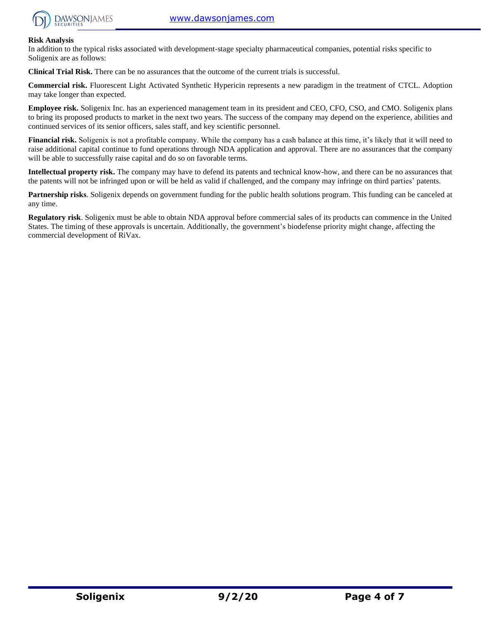

#### **Risk Analysis**

In addition to the typical risks associated with development-stage specialty pharmaceutical companies, potential risks specific to Soligenix are as follows:

**Clinical Trial Risk.** There can be no assurances that the outcome of the current trials is successful.

**Commercial risk.** Fluorescent Light Activated Synthetic Hypericin represents a new paradigm in the treatment of CTCL. Adoption may take longer than expected.

**Employee risk.** Soligenix Inc. has an experienced management team in its president and CEO, CFO, CSO, and CMO. Soligenix plans to bring its proposed products to market in the next two years. The success of the company may depend on the experience, abilities and continued services of its senior officers, sales staff, and key scientific personnel.

**Financial risk.** Soligenix is not a profitable company. While the company has a cash balance at this time, it's likely that it will need to raise additional capital continue to fund operations through NDA application and approval. There are no assurances that the company will be able to successfully raise capital and do so on favorable terms.

**Intellectual property risk.** The company may have to defend its patents and technical know-how, and there can be no assurances that the patents will not be infringed upon or will be held as valid if challenged, and the company may infringe on third parties' patents.

**Partnership risks**. Soligenix depends on government funding for the public health solutions program. This funding can be canceled at any time.

**Regulatory risk**. Soligenix must be able to obtain NDA approval before commercial sales of its products can commence in the United States. The timing of these approvals is uncertain. Additionally, the government's biodefense priority might change, affecting the commercial development of RiVax.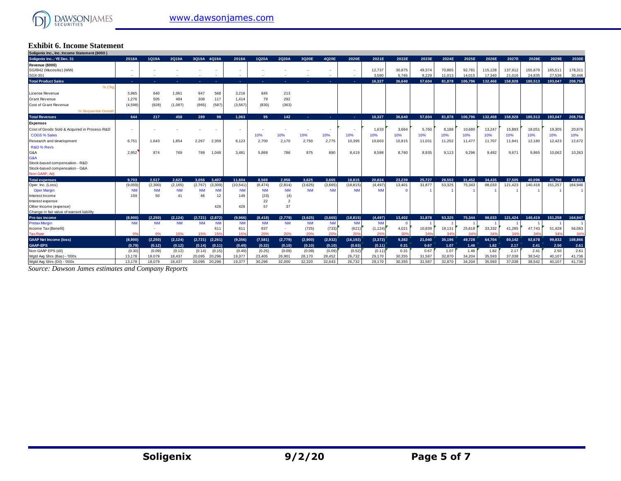

# **Exhibit 6. Income Statement Soligenix Inc., Inc. Income Statement (\$000 )**

| Exhibit 6. Income Statement                   |                      |                      |                       |                                 |                                   |                       |                          |                      |                      |                        |                       |                    |        |        |         |         |         |                 |         |         |
|-----------------------------------------------|----------------------|----------------------|-----------------------|---------------------------------|-----------------------------------|-----------------------|--------------------------|----------------------|----------------------|------------------------|-----------------------|--------------------|--------|--------|---------|---------|---------|-----------------|---------|---------|
| Soligenix Inc., Inc. Income Statement (\$000) |                      |                      |                       |                                 |                                   |                       |                          |                      |                      |                        |                       |                    |        |        |         |         |         |                 |         |         |
| Soligenix Inc: YE Dec. 31                     | 2018A                | 1Q19A                | 2Q19A                 | 3Q19A 4Q19A                     | 2019A                             | 1Q20A                 | 2Q20A                    | 3Q20E                | 4Q20E                | 2020E                  | 2021E                 | 2022E              | 2023E  | 2024E  | 2025E   | 2026E   | 2027E   | 2028E           | 2029E   | 2030E   |
| Revenue (\$000)                               |                      |                      |                       |                                 |                                   |                       |                          |                      |                      |                        |                       |                    |        |        |         |         |         |                 |         |         |
| SGX942 (Mucositis) (WW)                       |                      |                      |                       |                                 |                                   |                       |                          |                      |                      |                        | 12,737                | 30.875             | 49.374 | 70,865 | 92.781  | 115.128 | 137,912 | 155,679         | 165,511 | 178,31  |
| SGX-301                                       |                      |                      |                       |                                 | $\sim$                            |                       |                          |                      | $\sim$               | ۰.                     | 3.590                 | 5.765              | 8.229  | 11.013 | 14.015  | 17.340  | 21.016  | 24.835          | 27,536  | 30,446  |
| <b>Total Product Sales</b>                    | <b>COL</b>           | н.                   | ۰.                    | ۰.<br>$\sim$                    | <b>Section</b>                    | $\sim$                | $\sim$                   |                      | <b>.</b>             | . н.                   | 16.327                | 36.640             | 57.604 | 81,878 | 106.796 | 132,468 | 158.928 | 180.513         | 193.047 | 208,756 |
| % Cho                                         |                      |                      |                       |                                 |                                   |                       |                          |                      |                      |                        |                       |                    |        |        |         |         |         |                 |         |         |
| License Revenue                               | 3.965                | 640                  | 1,061                 | 947                             | 568<br>3,216                      | 845                   | 213                      |                      |                      |                        |                       |                    |        |        |         |         |         |                 |         |         |
| <b>Grant Revenue</b>                          | 1.276                | 505                  | 484                   | 308                             | 117<br>1,414                      | 79                    | 292                      |                      |                      |                        |                       |                    |        |        |         |         |         |                 |         |         |
| Cost of Grant Revenue                         | (4,598)              | (928)                | (1,087)               | (965)                           | (587<br>(3, 567)                  | (830)                 | (363)                    |                      |                      |                        |                       |                    |        |        |         |         |         |                 |         |         |
| % Sequential Growth                           |                      |                      |                       |                                 |                                   |                       |                          |                      |                      |                        |                       |                    |        |        |         |         |         |                 |         |         |
| <b>Total Revenues</b>                         | 644                  | 217                  | 458                   | 289                             | 98<br>1.063                       | 95                    | 142                      | <b>Section</b>       | . .                  | . н.                   | 16.327                | 36.640             | 57.604 | 81.878 | 106.796 | 132.468 | 158.928 | 180.513         | 193.047 | 208.756 |
| <b>Expenses</b>                               |                      |                      |                       |                                 |                                   |                       |                          |                      |                      |                        |                       |                    |        |        |         |         |         |                 |         |         |
| Cost of Goods Sold & Acquired in Process R&D  |                      |                      |                       |                                 |                                   |                       |                          |                      |                      |                        | 1.633                 | 3,664              | 5.760  | 8,188  | 10.680  | 13,247  | 15,893  | $18,05^{\circ}$ | 19,305  | 20,876  |
| <b>COGS % Sales</b>                           |                      |                      |                       |                                 |                                   | 10%                   | 10%                      | 10%                  | 10%                  | 10%                    | 10%                   | 10%                | 10%    | 10%    | 10%     | 10%     | 10%     | 10%             | 10%     | 10%     |
| Research and development                      | 6,751                | 1,643                | 1,854                 | 2,267<br>2,359                  | 8,123                             | 2,700                 | 2,170                    | 2,750                | 2,775                | 10,395                 | 10,603                | 10,815             | 11.031 | 11,252 | 11,477  | 11,707  | 11,941  | 12,180          | 12,423  | 12,672  |
| R&D % Revs                                    |                      |                      |                       |                                 |                                   |                       |                          |                      |                      |                        |                       |                    |        |        |         |         |         |                 |         |         |
| G&A                                           | 2.952                | 874                  | 769                   | 789<br>1.048                    | 3.48'                             | 5.869                 | 786                      | 875                  | 890                  | 8,419                  | 8.588                 | 8.760              | 8.935  | 9.113  | 9.296   | 9.482   | 9,671   | 9.865           | 10,062  | 10,263  |
| G&A                                           |                      |                      |                       |                                 |                                   |                       |                          |                      |                      |                        |                       |                    |        |        |         |         |         |                 |         |         |
| Stock-based compensation - R&D                |                      |                      |                       |                                 |                                   |                       |                          |                      |                      |                        |                       |                    |        |        |         |         |         |                 |         |         |
| Stock-based compensation - G&A                |                      |                      |                       |                                 |                                   |                       |                          |                      |                      |                        |                       |                    |        |        |         |         |         |                 |         |         |
| Non-GAAP, Adi                                 |                      |                      |                       |                                 |                                   |                       |                          |                      |                      |                        |                       |                    |        |        |         |         |         |                 |         |         |
| <b>Total expenses</b>                         | 9.703                | 2.517                | 2.623                 | 3.056<br>3.407                  | 11.604                            | 8.569                 | 2.956                    | 3.625                | 3.665                | 18.815                 | 20.824                | 23.239             | 25.727 | 28.553 | 31.452  | 34.435  | 37.505  | 40.096          | 41.790  | 43,811  |
| Oper. Inc. (Loss)                             | (9,059)              | (2,300)              | (2, 165)              | (2,767)<br>(3,309)              | (10, 541)                         | (8, 474)              | (2,814)                  | (3,625)              | (3,665)              | (18, 815)              | (4, 497)              | 13.401             | 31,877 | 53.325 | 75.343  | 98.033  | 121.423 | 140.418         | 151.257 | 164,946 |
| <b>Oper Margin</b>                            | <b>NM</b>            | <b>NM</b>            | <b>NM</b>             | <b>NM</b>                       | <b>NM</b><br><b>NM</b>            | <b>NM</b>             | <b>NM</b>                | <b>NM</b>            | <b>NN</b>            | <b>NM</b>              | <b>NM</b>             | $\Omega$           |        |        |         |         |         |                 |         |         |
| Interest Income                               | 159                  | 50                   | 41                    | 46                              | 12<br>149                         | (23)                  | (4)                      |                      |                      |                        |                       |                    |        |        |         |         |         |                 |         |         |
| Interest expense                              |                      |                      |                       |                                 |                                   | 22                    | $\overline{2}$           |                      |                      |                        |                       |                    |        |        |         |         |         |                 |         |         |
| Other Income (expense)                        |                      |                      |                       |                                 | 426<br>426                        | 57                    | 37                       |                      |                      |                        |                       |                    |        |        |         |         |         |                 |         |         |
| Change in fair value of warrant liability     |                      |                      |                       |                                 |                                   |                       |                          |                      |                      |                        |                       |                    |        |        | 75.344  |         |         |                 | 151.258 | 164.947 |
| Pre-tax income<br><b>Pretax Margin</b>        | (8.900)<br><b>NM</b> | (2.250)<br><b>NM</b> | (2, 124)<br><b>NM</b> | (2,872)<br>(2,721)<br><b>NM</b> | (9,966)<br><b>NM</b><br><b>NM</b> | (8, 418)<br><b>NM</b> | (2,779)<br><b>NM</b>     | (3,625)<br><b>NM</b> | (3,665)<br><b>NM</b> | (18, 815)<br><b>NM</b> | (4, 497)<br><b>NM</b> | 13.402<br>$\Omega$ | 31.878 | 53.325 |         | 98.033  | 121.424 | 140,419         |         |         |
| Income Tax (Benefit)                          |                      |                      |                       |                                 | 611<br>611                        | 837                   | $\overline{\phantom{a}}$ | (725)                | (733)                | (621)                  | (1, 124)              | 4,021              | 10,839 | 18,131 | 25,618  | 33,332  | 41,285  | 47.743          | 51.428  | 56,083  |
| <b>Tax Rate</b>                               | 0%                   | 0%                   | 15%                   | 15%                             | 15%<br>15%                        | 20%                   | 20%                      | 20%                  | 20%                  | 20%                    | 25%                   | 30%                | 34%    | 34%    | 34%     | 34%     | 34%     | 34%             | 34%     | 34%     |
| <b>GAAP Net Income (loss)</b>                 | (8,900)              | (2,250)              | (2, 124)              | $(2,721)$ $(2,261)$             | (9,356)                           | (7,581)               | (2,779)                  | (2,900)              | (2,932)              | (16, 192)              | (3, 372)              | 9,382              | 21,040 | 35,196 | 49,728  | 64,704  | 80,142  | 92,678          | 99,832  | 108,866 |
| <b>GAAP-EPS</b>                               | (0.79)               | (0.12)               | (0.12)                | (0.14)                          | (0.11)<br>(0.49)                  | (0.32)                | (0.10)                   | (0.10)               | (0.10)               | (0.63)                 | (0.11)                | 0.31               | 0.67   | 1.07   | 1.46    | 1.82    | 2.17    | 2.41            | 2.50    | 2.61    |
| Non GAAP EPS (dil)                            | (0.30)               | (0.09)               | (0.12)                | (0.14)                          | (0.15)<br>(0.49)                  | (0.25)                | (0.09)                   | (0.09)               | (0.09)               | (0.52)                 | (0.11)                | 0.31               | 0.67   | 1.07   | 1.46    | 1.82    | 2.17    | 2.41            | 2.50    | 2.61    |
| Wgtd Avg Shrs (Bas) - '000s                   | 13,178               | 18,079               | 18,437                | 20,095<br>20,296                | 19,377                            | 23,405                | 26,901                   | 28,170               | 28,452               | 26,732                 | 29,170                | 30,355             | 31,587 | 32,870 | 34,204  | 35,593  | 37,038  | 38,542          | 40,107  | 41,736  |
| Wgtd Avg Shrs (Dil) - '000s                   | 13.178               | 18.079               | 18.437                | 20.296<br>20.095                | 19.377                            | 30.296                | 32,000                   | 32,320               | 32.643               | 26.732                 | 29.170                | 30.355             | 31.587 | 32,870 | 34.204  | 35.593  | 37,038  | 38.542          | 40.107  | 41.736  |

*Source: Dawson James estimates and Company Reports*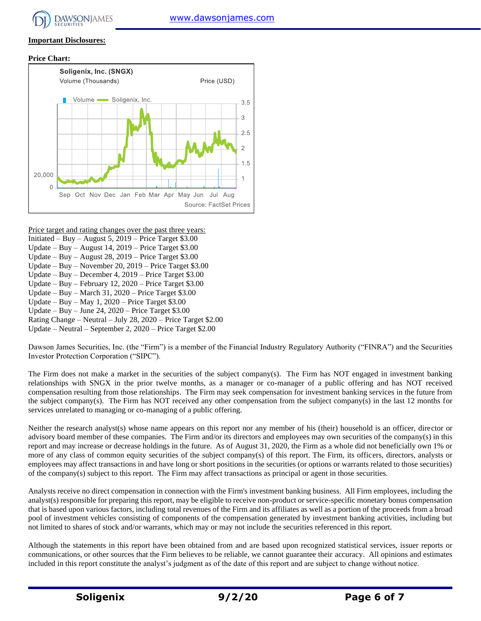# **Important Disclosures:**

#### **Price Chart:**



Price target and rating changes over the past three years:

- Initiated Buy August 5,  $2019$  Price Target \$3.00
- Update Buy August 14, 2019 Price Target \$3.00
- Update Buy August 28, 2019 Price Target \$3.00 Update – Buy – November 20, 2019 – Price Target \$3.00
- Update Buy December 4, 2019 Price Target \$3.00
- Update Buy February 12, 2020 Price Target \$3.00
- Update Buy March 31, 2020 Price Target \$3.00
- Update Buy May 1, 2020 Price Target \$3.00
- Update Buy June 24, 2020 Price Target \$3.00
- Rating Change Neutral July 28, 2020 Price Target \$2.00
- Update Neutral September 2, 2020 Price Target \$2.00

Dawson James Securities, Inc. (the "Firm") is a member of the Financial Industry Regulatory Authority ("FINRA") and the Securities Investor Protection Corporation ("SIPC").

The Firm does not make a market in the securities of the subject company(s). The Firm has NOT engaged in investment banking relationships with SNGX in the prior twelve months, as a manager or co-manager of a public offering and has NOT received compensation resulting from those relationships. The Firm may seek compensation for investment banking services in the future from the subject company(s). The Firm has NOT received any other compensation from the subject company(s) in the last 12 months for services unrelated to managing or co-managing of a public offering.

Neither the research analyst(s) whose name appears on this report nor any member of his (their) household is an officer, director or advisory board member of these companies. The Firm and/or its directors and employees may own securities of the company(s) in this report and may increase or decrease holdings in the future. As of August 31, 2020, the Firm as a whole did not beneficially own 1% or more of any class of common equity securities of the subject company(s) of this report. The Firm, its officers, directors, analysts or employees may affect transactions in and have long or short positions in the securities (or options or warrants related to those securities) of the company(s) subject to this report. The Firm may affect transactions as principal or agent in those securities.

Analysts receive no direct compensation in connection with the Firm's investment banking business. All Firm employees, including the analyst(s) responsible for preparing this report, may be eligible to receive non-product or service-specific monetary bonus compensation that is based upon various factors, including total revenues of the Firm and its affiliates as well as a portion of the proceeds from a broad pool of investment vehicles consisting of components of the compensation generated by investment banking activities, including but not limited to shares of stock and/or warrants, which may or may not include the securities referenced in this report.

Although the statements in this report have been obtained from and are based upon recognized statistical services, issuer reports or communications, or other sources that the Firm believes to be reliable, we cannot guarantee their accuracy. All opinions and estimates included in this report constitute the analyst's judgment as of the date of this report and are subject to change without notice.